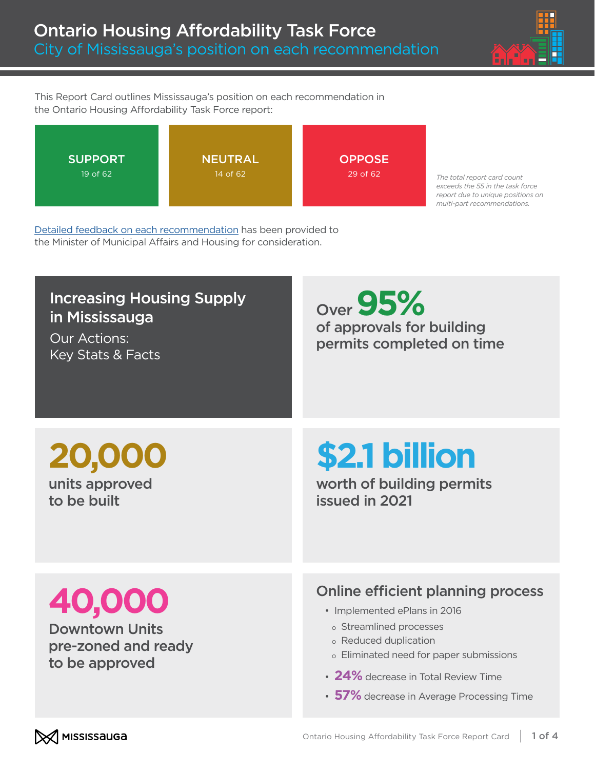

<span id="page-0-0"></span>This Report Card outlines Mississauga's position on each recommendation in the Ontario Housing Affordability Task Force report:



*exceeds the 55 in the task force report due to unique positions on multi-part recommendations.*

[Detailed feedback on each recommendation](https://pub-mississauga.escribemeetings.com/FileStream.ashx?DocumentId=21218#page=51) has been provided to the Minister of Municipal Affairs and Housing for consideration.

## Increasing Housing Supply in Mississauga

Our Actions: Key Stats & Facts Over **95%**  of approvals for building permits completed on time

**20,000** units approved to be built

## **\$2.1 billion**

worth of building permits issued in 2021

**40,000** 

Downtown Units pre-zoned and ready to be approved

## Online efficient planning process

- Implemented ePlans in 2016
	- o Streamlined processes
- o Reduced duplication
- o Eliminated need for paper submissions
- • **24%** decrease in Total Review Time
- • **57%** decrease in Average Processing Time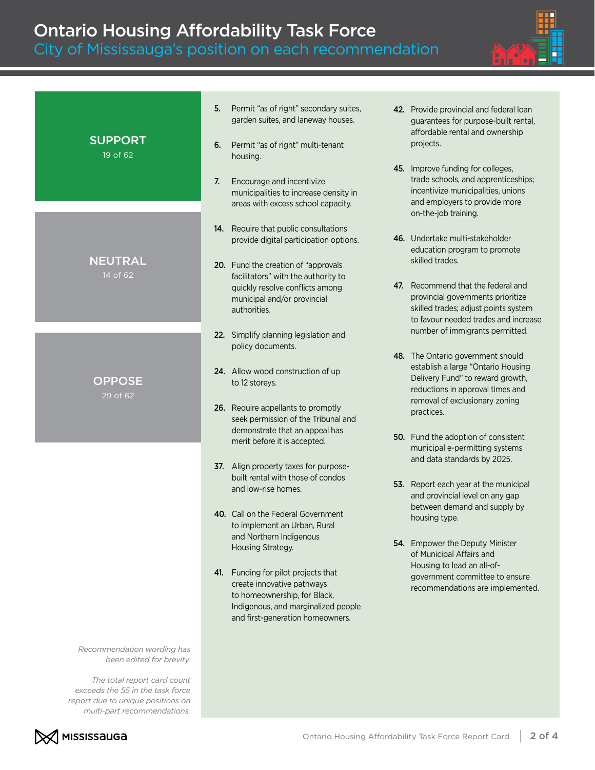

<span id="page-1-0"></span>

| <b>SUPPORT</b><br>19 of 62 | 5.<br>Permit "as of right" secondary suites,<br>garden suites, and laneway houses.<br>Permit "as of right" multi-tenant<br>6.<br>housing.                                    | 42. Provide provincial and federal loan<br>guarantees for purpose-built rental,<br>affordable rental and ownership<br>projects.<br>45. Improve funding for colleges,                       |
|----------------------------|------------------------------------------------------------------------------------------------------------------------------------------------------------------------------|--------------------------------------------------------------------------------------------------------------------------------------------------------------------------------------------|
|                            | 7.<br>Encourage and incentivize<br>municipalities to increase density in<br>areas with excess school capacity.                                                               | trade schools, and apprenticeships;<br>incentivize municipalities, unions<br>and employers to provide more<br>on-the-job training.                                                         |
| <b>NEUTRAL</b>             | 14. Require that public consultations<br>provide digital participation options.<br>20. Fund the creation of "approvals                                                       | 46. Undertake multi-stakeholder<br>education program to promote<br>skilled trades.                                                                                                         |
| 14 of 62                   | facilitators" with the authority to<br>quickly resolve conflicts among<br>municipal and/or provincial<br>authorities.                                                        | 47. Recommend that the federal and<br>provincial governments prioritize<br>skilled trades; adjust points system<br>to favour needed trades and increase<br>number of immigrants permitted. |
|                            | 22. Simplify planning legislation and<br>policy documents.                                                                                                                   | 48. The Ontario government should                                                                                                                                                          |
| <b>OPPOSE</b><br>29 of 62  | 24. Allow wood construction of up<br>to 12 storeys.<br>26. Require appellants to promptly<br>seek permission of the Tribunal and                                             | establish a large "Ontario Housing<br>Delivery Fund" to reward growth,<br>reductions in approval times and<br>removal of exclusionary zoning<br>practices.                                 |
|                            | demonstrate that an appeal has<br>merit before it is accepted.<br>37. Align property taxes for purpose-                                                                      | 50. Fund the adoption of consistent<br>municipal e-permitting systems<br>and data standards by 2025.                                                                                       |
|                            | built rental with those of condos<br>and low-rise homes.                                                                                                                     | 53. Report each year at the municipal<br>and provincial level on any gap<br>between demand and supply by                                                                                   |
|                            | 40. Call on the Federal Government<br>to implement an Urban, Rural<br>and Northern Indigenous                                                                                | housing type.                                                                                                                                                                              |
|                            | Housing Strategy.                                                                                                                                                            | 54. Empower the Deputy Minister<br>of Municipal Affairs and<br>Housing to lead an all-of-                                                                                                  |
|                            | 41. Funding for pilot projects that<br>create innovative pathways<br>to homeownership, for Black,<br>Indigenous, and marginalized people<br>and first-generation homeowners. | government committee to ensure<br>recommendations are implemented.                                                                                                                         |
| Recommendation wording has |                                                                                                                                                                              |                                                                                                                                                                                            |

*Recommendation wording has been edited for brevity.*

*The total report card count exceeds the 55 in the task force report due to unique positions on multi-part recommendations.*

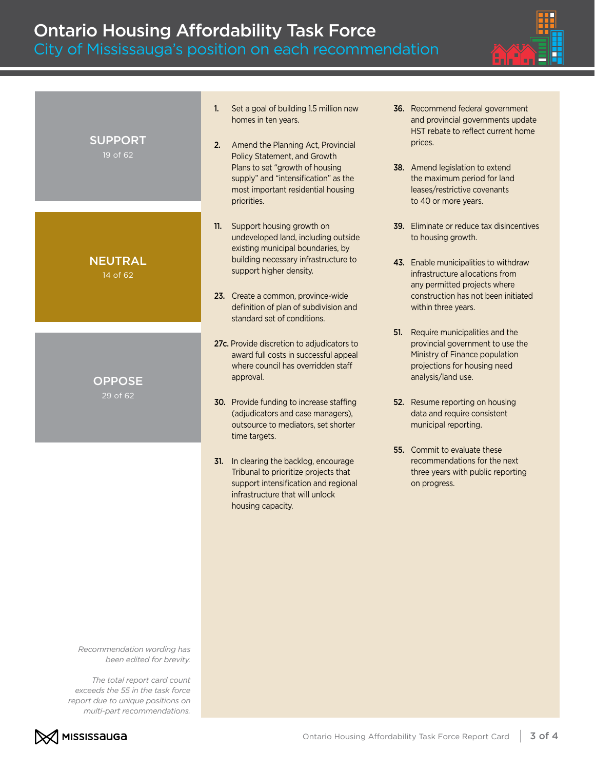

<span id="page-2-0"></span>

| <b>SUPPORT</b><br>19 of 62 | $\mathbf{1}$<br>Set a goal of building 1.5 million new<br>homes in ten years.<br>Amend the Planning Act, Provincial<br>2.<br>Policy Statement, and Growth<br>Plans to set "growth of housing<br>supply" and "intensification" as the<br>most important residential housing<br>priorities.     | 36. Recommend federal government<br>and provincial governments update<br>HST rebate to reflect current home<br>prices.<br>38. Amend legislation to extend<br>the maximum period for land<br>leases/restrictive covenants<br>to 40 or more years.         |
|----------------------------|-----------------------------------------------------------------------------------------------------------------------------------------------------------------------------------------------------------------------------------------------------------------------------------------------|----------------------------------------------------------------------------------------------------------------------------------------------------------------------------------------------------------------------------------------------------------|
| <b>NEUTRAL</b><br>14 of 62 | Support housing growth on<br>11.<br>undeveloped land, including outside<br>existing municipal boundaries, by<br>building necessary infrastructure to<br>support higher density.<br>23. Create a common, province-wide<br>definition of plan of subdivision and<br>standard set of conditions. | <b>39.</b> Eliminate or reduce tax disincentives<br>to housing growth.<br>43. Enable municipalities to withdraw<br>infrastructure allocations from<br>any permitted projects where<br>construction has not been initiated<br>within three years.         |
| <b>OPPOSE</b><br>29 of 62  | 27c. Provide discretion to adjudicators to<br>award full costs in successful appeal<br>where council has overridden staff<br>approval.<br>30. Provide funding to increase staffing<br>(adjudicators and case managers),<br>outsource to mediators, set shorter<br>time targets.               | 51. Require municipalities and the<br>provincial government to use the<br>Ministry of Finance population<br>projections for housing need<br>analysis/land use.<br>52. Resume reporting on housing<br>data and require consistent<br>municipal reporting. |
|                            | 31. In clearing the backlog, encourage<br>Tribunal to prioritize projects that<br>support intensification and regional<br>infrastructure that will unlock<br>housing capacity.                                                                                                                | 55. Commit to evaluate these<br>recommendations for the next<br>three years with public reporting<br>on progress.                                                                                                                                        |

*Recommendation wording has been edited for brevity.*

*The total report card count exceeds the 55 in the task force report due to unique positions on multi-part recommendations.*